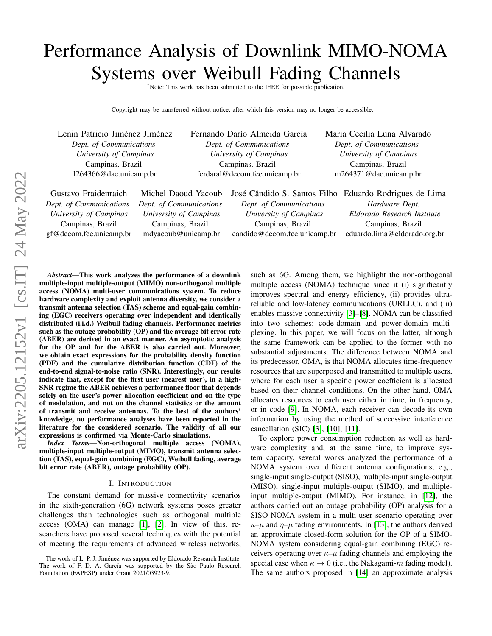# Performance Analysis of Downlink MIMO-NOMA Systems over Weibull Fading Channels

\*Note: This work has been submitted to the IEEE for possible publication.

Copyright may be transferred without notice, after which this version may no longer be accessible.

| Lenin Patricio Jiménez Jiménez | Fernando Darío Almeida García | Maria Cecilia Luna Alvarado |
|--------------------------------|-------------------------------|-----------------------------|
| Dept. of Communications        | Dept. of Communications       | Dept. of Communications     |
| University of Campinas         | University of Campinas        | University of Campinas      |
| Campinas, Brazil               | Campinas, Brazil              | Campinas, Brazil            |
| 1264366@dac.unicamp.br         | ferdaral@decom.fee.unicamp.br | m264371@dac.unicamp.br      |
|                                |                               |                             |

| Gustavo Fraidenraich    | Michel Daoud Yacoub     | José Cândido S. Santos Filho Eduardo Rodrigues de Lima |                              |
|-------------------------|-------------------------|--------------------------------------------------------|------------------------------|
| Dept. of Communications | Dept. of Communications | Dept. of Communications                                | Hardware Dept.               |
| University of Campinas  | University of Campinas  | University of Campinas                                 | Eldorado Research Institute  |
| Campinas, Brazil        | Campinas, Brazil        | Campinas, Brazil                                       | Campinas, Brazil             |
| gf@decom.fee.unicamp.br | mdyacoub@unicamp.br     | candido@decom.fee.unicamp.br                           | eduardo.lima@eldorado.org.br |
|                         |                         |                                                        |                              |

*Abstract*—This work analyzes the performance of a downlink multiple-input multiple-output (MIMO) non-orthogonal multiple access (NOMA) multi-user communications system. To reduce hardware complexity and exploit antenna diversity, we consider a transmit antenna selection (TAS) scheme and equal-gain combining (EGC) receivers operating over independent and identically distributed (i.i.d.) Weibull fading channels. Performance metrics such as the outage probability (OP) and the average bit error rate (ABER) are derived in an exact manner. An asymptotic analysis for the OP and for the ABER is also carried out. Moreover, we obtain exact expressions for the probability density function (PDF) and the cumulative distribution function (CDF) of the end-to-end signal-to-noise ratio (SNR). Interestingly, our results indicate that, except for the first user (nearest user), in a high-SNR regime the ABER achieves a performance floor that depends solely on the user's power allocation coefficient and on the type of modulation, and not on the channel statistics or the amount of transmit and receive antennas. To the best of the authors' knowledge, no performance analyses have been reported in the literature for the considered scenario. The validity of all our expressions is confirmed via Monte-Carlo simulations.

*Index Terms*—Non-orthogonal multiple access (NOMA), multiple-input multiple-output (MIMO), transmit antenna selection (TAS), equal-gain combining (EGC), Weibull fading, average bit error rate (ABER), outage probability (OP).

#### I. INTRODUCTION

The constant demand for massive connectivity scenarios in the sixth-generation (6G) network systems poses greater challenges than technologies such as orthogonal multiple access (OMA) can manage [\[1\]](#page-5-0), [\[2\]](#page-5-1). In view of this, researchers have proposed several techniques with the potential of meeting the requirements of advanced wireless networks, such as 6G. Among them, we highlight the non-orthogonal multiple access (NOMA) technique since it (i) significantly improves spectral and energy efficiency, (ii) provides ultrareliable and low-latency communications (URLLC), and (iii) enables massive connectivity [\[3\]](#page-5-2)–[\[8\]](#page-5-3). NOMA can be classified into two schemes: code-domain and power-domain multiplexing. In this paper, we will focus on the latter, although the same framework can be applied to the former with no substantial adjustments. The difference between NOMA and its predecessor, OMA, is that NOMA allocates time-frequency resources that are superposed and transmitted to multiple users, where for each user a specific power coefficient is allocated based on their channel conditions. On the other hand, OMA allocates resources to each user either in time, in frequency, or in code [\[9\]](#page-5-4). In NOMA, each receiver can decode its own information by using the method of successive interference cancellation (SIC) [\[3\]](#page-5-2), [\[10\]](#page-5-5), [\[11\]](#page-5-6).

To explore power consumption reduction as well as hardware complexity and, at the same time, to improve system capacity, several works analyzed the performance of a NOMA system over different antenna configurations, e.g., single-input single-output (SISO), multiple-input single-output (MISO), single-input multiple-output (SIMO), and multipleinput multiple-output (MIMO). For instance, in [\[12\]](#page-5-7), the authors carried out an outage probability (OP) analysis for a SISO-NOMA system in a multi-user scenario operating over  $\kappa-\mu$  and  $\eta-\mu$  fading environments. In [\[13\]](#page-5-8), the authors derived an approximate closed-form solution for the OP of a SIMO-NOMA system considering equal-gain combining (EGC) receivers operating over  $\kappa-\mu$  fading channels and employing the special case when  $\kappa \to 0$  (i.e., the Nakagami-m fading model). The same authors proposed in [\[14\]](#page-5-9) an approximate analysis

The work of L. P. J. Jiménez was supported by Eldorado Research Institute. The work of F. D. A. García was supported by the São Paulo Research Foundation (FAPESP) under Grant 2021/03923-9.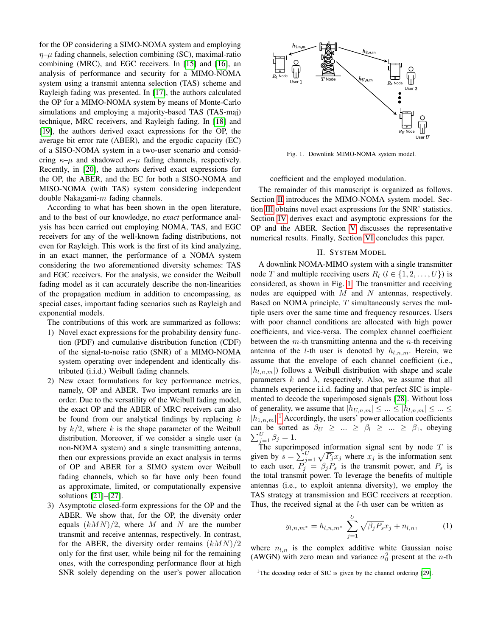for the OP considering a SIMO-NOMA system and employing  $\eta$ – $\mu$  fading channels, selection combining (SC), maximal-ratio combining (MRC), and EGC receivers. In [\[15\]](#page-5-10) and [\[16\]](#page-5-11), an analysis of performance and security for a MIMO-NOMA system using a transmit antenna selection (TAS) scheme and Rayleigh fading was presented. In [\[17\]](#page-5-12), the authors calculated the OP for a MIMO-NOMA system by means of Monte-Carlo simulations and employing a majority-based TAS (TAS-maj) technique, MRC receivers, and Rayleigh fading. In [\[18\]](#page-5-13) and [\[19\]](#page-5-14), the authors derived exact expressions for the OP, the average bit error rate (ABER), and the ergodic capacity (EC) of a SISO-NOMA system in a two-user scenario and considering  $\kappa-\mu$  and shadowed  $\kappa-\mu$  fading channels, respectively. Recently, in [\[20\]](#page-5-15), the authors derived exact expressions for the OP, the ABER, and the EC for both a SISO-NOMA and MISO-NOMA (with TAS) system considering independent double Nakagami- $m$  fading channels.

According to what has been shown in the open literature, and to the best of our knowledge, no *exact* performance analysis has been carried out employing NOMA, TAS, and EGC receivers for any of the well-known fading distributions, not even for Rayleigh. This work is the first of its kind analyzing, in an exact manner, the performance of a NOMA system considering the two aforementioned diversity schemes: TAS and EGC receivers. For the analysis, we consider the Weibull fading model as it can accurately describe the non-linearities of the propagation medium in addition to encompassing, as special cases, important fading scenarios such as Rayleigh and exponential models.

The contributions of this work are summarized as follows:

- 1) Novel exact expressions for the probability density function (PDF) and cumulative distribution function (CDF) of the signal-to-noise ratio (SNR) of a MIMO-NOMA system operating over independent and identically distributed (i.i.d.) Weibull fading channels.
- 2) New exact formulations for key performance metrics, namely, OP and ABER. Two important remarks are in order. Due to the versatility of the Weibull fading model, the exact OP and the ABER of MRC receivers can also be found from our analytical findings by replacing  $k$ by  $k/2$ , where k is the shape parameter of the Weibull distribution. Moreover, if we consider a single user (a non-NOMA system) and a single transmitting antenna, then our expressions provide an exact analysis in terms of OP and ABER for a SIMO system over Weibull fading channels, which so far have only been found as approximate, limited, or computationally expensive solutions [\[21\]](#page-5-16)–[\[27\]](#page-5-17).
- 3) Asymptotic closed-form expressions for the OP and the ABER. We show that, for the OP, the diversity order equals  $(kMN)/2$ , where M and N are the number transmit and receive antennas, respectively. In contrast, for the ABER, the diversity order remains  $(kMN)/2$ only for the first user, while being nil for the remaining ones, with the corresponding performance floor at high SNR solely depending on the user's power allocation



<span id="page-1-1"></span>Fig. 1. Downlink MIMO-NOMA system model.

coefficient and the employed modulation.

The remainder of this manuscript is organized as follows. Section [II](#page-1-0) introduces the MIMO-NOMA system model. Section [III](#page-2-0) obtains novel exact expressions for the SNR' statistics. Section [IV](#page-2-1) derives exact and asymptotic expressions for the OP and the ABER. Section [V](#page-4-0) discusses the representative numerical results. Finally, Section [VI](#page-4-1) concludes this paper.

## II. SYSTEM MODEL

<span id="page-1-0"></span>A downlink NOMA-MIMO system with a single transmitter node T and multiple receiving users  $R_l$  ( $l \in \{1, 2, \ldots, U\}$ ) is considered, as shown in Fig. [1.](#page-1-1) The transmitter and receiving nodes are equipped with  $M$  and  $N$  antennas, respectively. Based on NOMA principle,  $T$  simultaneously serves the multiple users over the same time and frequency resources. Users with poor channel conditions are allocated with high power coefficients, and vice-versa. The complex channel coefficient between the  $m$ -th transmitting antenna and the  $n$ -th receiving antenna of the *l*-th user is denoted by  $h_{l,n,m}$ . Herein, we assume that the envelope of each channel coefficient (i.e.,  $|h_{l,n,m}|$  follows a Weibull distribution with shape and scale parameters  $k$  and  $\lambda$ , respectively. Also, we assume that all channels experience i.i.d. fading and that perfect SIC is implemented to decode the superimposed signals [\[28\]](#page-5-18). Without loss of generality, we assume that  $|h_{U,n,m}| \leq ... \leq |h_{l,n,m}| \leq ... \leq$  $|h_{1,n,m}|$  $|h_{1,n,m}|$  $|h_{1,n,m}|$ .<sup>1</sup> Accordingly, the users' power allocation coefficients  $\sum_{j=1}^{U} \beta_j = 1.$ can be sorted as  $\beta_U \geq ... \geq \beta_l \geq ... \geq \beta_1$ , obeying

The superimposed information signal sent by node  $T$  is given by  $s = \sum_{j=1}^{U} \sqrt{P_j} x_j$  where  $x_j$  is the information sent to each user,  $P_j = \beta_j P_s$  is the transmit power, and  $P_s$  is the total transmit power. To leverage the benefits of multiple antennas (i.e., to exploit antenna diversity), we employ the TAS strategy at transmission and EGC receivers at reception. Thus, the received signal at the *l*-th user can be written as

<span id="page-1-3"></span>
$$
y_{l,n,m^*} = h_{l,n,m^*} \sum_{j=1}^{U} \sqrt{\beta_j P_s} x_j + n_{l,n},
$$
 (1)

where  $n_{l,n}$  is the complex additive white Gaussian noise (AWGN) with zero mean and variance  $\sigma_0^2$  present at the *n*-th

<span id="page-1-2"></span><sup>&</sup>lt;sup>1</sup>The decoding order of SIC is given by the channel ordering [\[29\]](#page-5-19).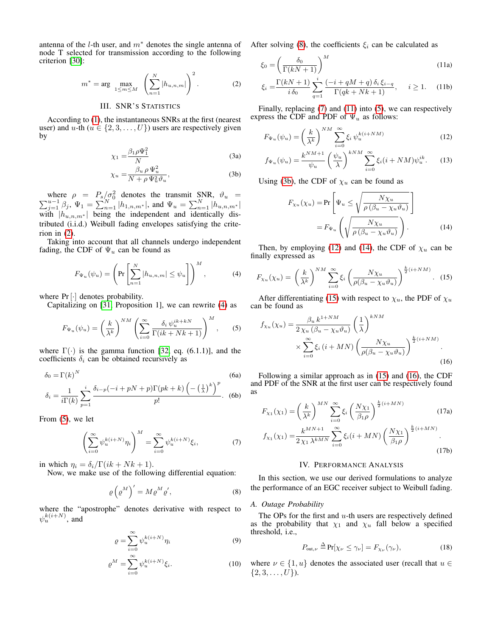antenna of the *l*-th user, and  $m^*$  denotes the single antenna of node T selected for transmission according to the following criterion [\[30\]](#page-5-20):

$$
m^* = \arg \max_{1 \le m \le M} \left( \sum_{n=1}^N |h_{u,n,m}| \right)^2.
$$
 (2)

# III. SNR'S STATISTICS

<span id="page-2-0"></span>According to [\(1\)](#page-1-3), the instantaneous SNRs at the first (nearest user) and u-th  $(u \in \{2, 3, ..., U\})$  users are respectively given by

$$
\chi_1 = \frac{\beta_1 \rho \Psi_1^2}{N} \tag{3a}
$$

$$
\chi_u = \frac{\beta_u \, \rho \, \Psi_u^2}{N + \rho \, \Psi_u^2 \vartheta_u},\tag{3b}
$$

where  $\rho = P_s/\sigma_0^2$  $\sum$ where  $\rho = P_s / \sigma_0^2$  denotes the transmit SNR,  $\vartheta_u = \frac{u-1}{j=1} \beta_j$ ,  $\Psi_1 = \sum_{n=1}^{N} |h_{1,n,m^*}|$ , and  $\Psi_u = \sum_{n=1}^{N} |h_{u,n,m^*}|$ with  $|h_{u,n,m^*}|$  being the independent and identically distributed (i.i.d.) Weibull fading envelopes satisfying the criterion in [\(2\)](#page-2-2).

Taking into account that all channels undergo independent fading, the CDF of  $\Psi_u$  can be found as

$$
F_{\Psi_u}(\psi_u) = \left(\Pr\left[\sum_{n=1}^N |h_{u,n,m}| \le \psi_u\right]\right)^M, \tag{4}
$$

where  $Pr[\cdot]$  denotes probability.

Capitalizing on [\[31,](#page-5-21) Proposition 1], we can rewrite [\(4\)](#page-2-3) as

$$
F_{\Psi_u}(\psi_u) = \left(\frac{k}{\lambda^k}\right)^{NM} \left(\sum_{i=0}^{\infty} \frac{\delta_i \psi_u^{ik+kN}}{\Gamma(ik+Nk+1)}\right)^M, \quad (5)
$$

where  $\Gamma(\cdot)$  is the gamma function [\[32,](#page-5-22) eq. (6.1.1)], and the coefficients  $\delta_i$  can be obtained recursively as

$$
\delta_0 = \Gamma(k)^N
$$
\n
$$
(6a)
$$
\n
$$
i \quad \delta \quad (-i + nN + n)\Gamma(nk + k) \left( -\left(\frac{1}{n}\right)^k \right)^p
$$

$$
\delta_i = \frac{1}{i\Gamma(k)} \sum_{p=1}^i \frac{\delta_{i-p}(-i+pN+p)\Gamma(pk+k)\left(-\left(\frac{1}{\lambda}\right)^k\right)^p}{p!}.
$$
 (6b)

From [\(5\)](#page-2-4), we let

$$
\left(\sum_{i=0}^{\infty} \psi_u^{k(i+N)} \eta_i\right)^M = \sum_{i=0}^{\infty} \psi_u^{k(i+N)} \xi_i,
$$
 (7)

in which  $\eta_i = \delta_i/\Gamma(ik + Nk + 1)$ .

Now, we make use of the following differential equation:

$$
\varrho \left( \varrho^{M} \right)' = M \varrho^{M} \varrho', \tag{8}
$$

where the "apostrophe" denotes derivative with respect to  $\psi_u^{k(i+N)}$ , and

$$
\varrho = \sum_{i=0}^{\infty} \psi_u^{k(i+N)} \eta_i \tag{9}
$$

$$
\varrho^{M} = \sum_{i=0}^{\infty} \psi_{u}^{k(i+N)} \xi_{i}.
$$
 (10)

After solving [\(8\)](#page-2-5), the coefficients  $\xi_i$  can be calculated as

<span id="page-2-7"></span>
$$
\xi_0 = \left(\frac{\delta_0}{\Gamma(kN+1)}\right)^M\tag{11a}
$$

<span id="page-2-2"></span>
$$
\xi_i = \frac{\Gamma(kN+1)}{i \,\delta_0} \sum_{q=1}^i \frac{(-i + qM + q) \,\delta_i \,\xi_{i-q}}{\Gamma(qk + Nk + 1)}, \quad i \ge 1. \tag{11b}
$$

Finally, replacing [\(7\)](#page-2-6) and [\(11\)](#page-2-7) into [\(5\)](#page-2-4), we can respectively express the CDF and PDF of  $\Psi_u$  as follows:

$$
F_{\Psi_u}(\psi_u) = \left(\frac{k}{\lambda^k}\right)^{NM} \sum_{i=0}^{\infty} \xi_i \, \psi_u^{k(i+NM)} \tag{12}
$$

$$
f_{\Psi_u}(\psi_u) = \frac{k^{NM+1}}{\psi_u} \left(\frac{\psi_u}{\lambda}\right)^{kNM} \sum_{i=0}^{\infty} \xi_i (i + NM) \psi_u^{ik}.
$$
 (13)

<span id="page-2-8"></span>Using [\(3b\)](#page-2-8), the CDF of  $\chi_u$  can be found as

<span id="page-2-14"></span><span id="page-2-11"></span><span id="page-2-10"></span><span id="page-2-9"></span>
$$
F_{\chi_u}(\chi_u) = \Pr\left[\Psi_u \le \sqrt{\frac{N\chi_u}{\rho\left(\beta_u - \chi_u\vartheta_u\right)}}\right]
$$

$$
= F_{\Psi_u}\left(\sqrt{\frac{N\chi_u}{\rho\left(\beta_u - \chi_u\vartheta_u\right)}}\right).
$$
(14)

Then, by employing [\(12\)](#page-2-9) and [\(14\)](#page-2-10), the CDF of  $\chi_u$  can be finally expressed as

<span id="page-2-3"></span>
$$
F_{\chi_u}(\chi_u) = \left(\frac{k}{\lambda^k}\right)^{NM} \sum_{i=0}^{\infty} \xi_i \left(\frac{N\chi_u}{\rho(\beta_u - \chi_u \vartheta_u)}\right)^{\frac{k}{2}(i+NM)}.
$$
 (15)

After differentiating [\(15\)](#page-2-11) with respect to  $\chi_u$ , the PDF of  $\chi_u$ can be found as

<span id="page-2-4"></span>
$$
f_{\chi_u}(\chi_u) = \frac{\beta_u k^{1+NM}}{2\chi_u(\beta_u - \chi_u \vartheta_u)} \left(\frac{1}{\lambda}\right)^{kNM} \times \sum_{i=0}^{\infty} \xi_i \left(i + MN\right) \left(\frac{N\chi_u}{\rho(\beta_u - \chi_u \vartheta_u)}\right)^{\frac{k}{2}(i+NM)}.
$$
\n(16)

Following a similar approach as in [\(15\)](#page-2-11) and [\(16\)](#page-2-12), the CDF and PDF of the SNR at the first user can be respectively found as

<span id="page-2-6"></span>
$$
F_{\chi_1}(\chi_1) = \left(\frac{k}{\lambda^k}\right)^{MN} \sum_{i=0}^{\infty} \xi_i \left(\frac{N\chi_1}{\beta_1 \rho}\right)^{\frac{k}{2}(i+MN)} \tag{17a}
$$

$$
f_{\chi_1}(\chi_1) = \frac{k^{MN+1}}{2\chi_1 \lambda^{kMN}} \sum_{i=0}^{\infty} \xi_i (i+MN) \left(\frac{N\chi_1}{\beta_1 \rho}\right)^{\frac{k}{2}(i+MN)}.
$$

<span id="page-2-13"></span><span id="page-2-12"></span>
$$
(17b)
$$

## IV. PERFORMANCE ANALYSIS

<span id="page-2-5"></span><span id="page-2-1"></span>In this section, we use our derived formulations to analyze the performance of an EGC receiver subject to Weibull fading.

#### *A. Outage Probability*

The OPs for the first and  $u$ -th users are respectively defined as the probability that  $\chi_1$  and  $\chi_u$  fall below a specified threshold, i.e.,

$$
P_{\text{out},\nu} \stackrel{\Delta}{=} \Pr[\chi_{\nu} \le \gamma_{\nu}] = F_{\chi_{\nu}}(\gamma_{\nu}),\tag{18}
$$

where  $\nu \in \{1, u\}$  denotes the associated user (recall that  $u \in$  $\{2, 3, \ldots, U\}$ ).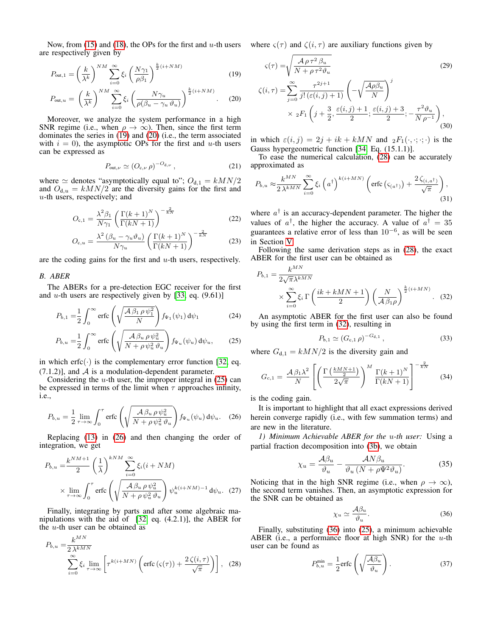Now, from [\(15\)](#page-2-11) and [\(18\)](#page-2-13), the OPs for the first and u-th users where  $\varsigma(\tau)$  and  $\zeta(i,\tau)$  are auxiliary functions given by are respectively given by

$$
P_{\text{out},1} = \left(\frac{k}{\lambda^k}\right)^{NM} \sum_{i=0}^{\infty} \xi_i \left(\frac{N\gamma_1}{\rho \beta_1}\right)^{\frac{k}{2}(i+NM)} \tag{19}
$$

$$
P_{\text{out},u} = \left(\frac{k}{\lambda^k}\right)^{NM} \sum_{i=0}^{\infty} \xi_i \left(\frac{N\gamma_u}{\rho(\beta_u - \gamma_u \vartheta_u)}\right)^{\frac{k}{2}(i+NM)}.
$$
 (20)

Moreover, we analyze the system performance in a high SNR regime (i.e., when  $\rho \to \infty$ ). Then, since the first term dominates the series in [\(19\)](#page-3-0) and [\(20\)](#page-3-1) (i.e., the term associated with  $i = 0$ ), the asymptotic OPs for the first and u-th users can be expressed as

$$
P_{\text{out},\nu} \simeq (O_{\mathbf{c},\nu} \,\rho)^{-O_{\mathbf{d},\nu}}\,,\tag{21}
$$

where  $\simeq$  denotes "asymptotically equal to";  $O_{d,1} = kMN/2$ and  $O_{d,u} = kMN/2$  are the diversity gains for the first and  $u$ -th users, respectively; and

$$
O_{c,1} = \frac{\lambda^2 \beta_1}{N\gamma_1} \left( \frac{\Gamma(k+1)^N}{\Gamma(kN+1)} \right)^{-\frac{2}{kN}}
$$
(22)

$$
O_{c,u} = \frac{\lambda^2 \left(\beta_u - \gamma_u \vartheta_u\right)}{N\gamma_u} \left(\frac{\Gamma(k+1)^N}{\Gamma(kN+1)}\right)^{-\frac{2}{kN}}\tag{23}
$$

are the coding gains for the first and  $u$ -th users, respectively.

### *B. ABER*

The ABERs for a pre-detection EGC receiver for the first and  $u$ -th users are respectively given by [\[33,](#page-5-23) eq. (9.61)]

$$
P_{b,1} = \frac{1}{2} \int_0^\infty \text{erfc}\left(\sqrt{\frac{\mathcal{A}\,\beta_1\,\rho\,\psi_1^2}{N}}\right) f_{\Psi_1}(\psi_1) \,d\psi_1\tag{24}
$$

$$
P_{b,u} = \frac{1}{2} \int_0^\infty \text{erfc}\left(\sqrt{\frac{\mathcal{A}\,\beta_u \,\rho \,\psi_u^2}{N + \rho \,\psi_u^2 \,\vartheta_u}}\right) f_{\Psi_u}(\psi_u) \, \mathrm{d}\psi_u,\tag{25}
$$

in which erfc $(\cdot)$  is the complementary error function [\[32,](#page-5-22) eq.  $(7.1.2)$ ], and  $\mathcal A$  is a modulation-dependent parameter.

Considering the  $u$ -th user, the improper integral in  $(25)$  can be expressed in terms of the limit when  $\tau$  approaches infinity, i.e.,

$$
P_{b,u} = \frac{1}{2} \lim_{\tau \to \infty} \int_0^{\tau} \text{erfc}\left(\sqrt{\frac{\mathcal{A}\beta_u \rho \psi_u^2}{N + \rho \psi_u^2 \vartheta_u}}\right) f_{\Psi_u}(\psi_u) d\psi_u. \quad (26)
$$

Replacing [\(13\)](#page-2-14) in [\(26\)](#page-3-3) and then changing the order of integration, we get

$$
P_{b,u} = \frac{k^{NM+1}}{2} \left(\frac{1}{\lambda}\right)^{kNM} \sum_{i=0}^{\infty} \xi_i (i+NM)
$$
  
 
$$
\times \lim_{\tau \to \infty} \int_0^{\tau} \text{erfc}\left(\sqrt{\frac{\mathcal{A}\beta_u \rho \psi_u^2}{N + \rho \psi_u^2 \vartheta_u}}\right) \psi_u^{k(i+NM)-1} d\psi_u. (27)
$$

Finally, integrating by parts and after some algebraic manipulations with the aid of [\[32,](#page-5-22) eq. (4.2.1)], the ABER for the  $u$ -th user can be obtained as

ME<sub>NT</sub>

$$
P_{b,u} = \frac{k^{MN}}{2\lambda^{kMN}}
$$

$$
\sum_{i=0}^{\infty} \xi_i \lim_{\tau \to \infty} \left[ \tau^{k(i+MN)} \left( \text{erfc} \left( \varsigma(\tau) \right) + \frac{2\zeta(i,\tau)}{\sqrt{\pi}} \right) \right], \quad (28)
$$

<span id="page-3-1"></span><span id="page-3-0"></span>
$$
\varsigma(\tau) = \sqrt{\frac{\mathcal{A}\rho\,\tau^2\,\beta_u}{N + \rho\,\tau^2\vartheta_u}}\tag{29}
$$
\n
$$
\zeta(i,\tau) = \sum_{j=0}^{\infty} \frac{\tau^{2j+1}}{j!\,(\varepsilon(i,j)+1)} \left(-\sqrt{\frac{\mathcal{A}\rho\beta_u}{N}}\right)^j
$$
\n
$$
\times {}_2F_1\left(j + \frac{3}{2}, \frac{\varepsilon(i,j)+1}{2}; \frac{\varepsilon(i,j)+3}{2}; -\frac{\tau^2\vartheta_u}{N\rho^{-1}}\right),\tag{30}
$$

in which  $\varepsilon(i, j) = 2j + ik + kMN$  and  ${}_2F_1(\cdot, \cdot; \cdot; \cdot)$  is the Gauss hypergeometric function [\[34,](#page-5-24) Eq. (15.1.1)].

To ease the numerical calculation, [\(28\)](#page-3-4) can be accurately approximated as

$$
P_{b,u} \approx \frac{k^{MN}}{2\,\lambda^{kMN}} \sum_{i=0}^{\infty} \xi_i \left(a^{\dagger}\right)^{k(i+MN)} \left(\text{erfc}\left(\varsigma_{(a^{\dagger})}\right) + \frac{2\,\zeta_{(i,a^{\dagger})}}{\sqrt{\pi}}\right),\tag{31}
$$

where  $a^{\dagger}$  is an accuracy-dependent parameter. The higher the values of  $a^{\dagger}$ , the higher the accuracy. A value of  $a^{\dagger} = 35$ guarantees a relative error of less than  $10^{-6}$ , as will be seen in Section [V.](#page-4-0)

Following the same derivation steps as in [\(28\)](#page-3-4), the exact ABER for the first user can be obtained as

$$
P_{b,1} = \frac{k^{MN}}{2\sqrt{\pi}\lambda^{kMN}}
$$

$$
\times \sum_{i=0}^{\infty} \xi_i \Gamma\left(\frac{ik + kMN + 1}{2}\right) \left(\frac{N}{A\beta_1\rho}\right)^{\frac{k}{2}(i+MN)}.
$$
 (32)

An asymptotic ABER for the first user can also be found by using the first term in [\(32\)](#page-3-5), resulting in

<span id="page-3-5"></span>
$$
P_{b,1} \simeq (G_{c,1} \,\rho)^{-G_{d,1}}\,,\tag{33}
$$

<span id="page-3-2"></span>where  $G_{d,1} = kMN/2$  is the diversity gain and

$$
G_{c,1} = \frac{\mathcal{A}\,\beta_1\lambda^2}{N} \left[ \left( \frac{\Gamma\left(\frac{kMN+1}{2}\right)}{2\sqrt{\pi}} \right)^M \frac{\Gamma(k+1)^N}{\Gamma(kN+1)} \right]^{-\frac{2}{kN}} \tag{34}
$$

is the coding gain.

<span id="page-3-3"></span>It is important to highlight that all exact expressions derived herein converge rapidly (i.e., with few summation terms) and are new in the literature.

*1) Minimum Achievable ABER for the* u*-th user:* Using a partial fraction decomposition into [\(3b\)](#page-2-8), we obtain

$$
\chi_u = \frac{\mathcal{A}\beta_u}{\vartheta_u} - \frac{\mathcal{A}N\beta_u}{\vartheta_u\left(N + \rho\Psi^2\vartheta_u\right)}.\tag{35}
$$

Noticing that in the high SNR regime (i.e., when  $\rho \to \infty$ ), the second term vanishes. Then, an asymptotic expression for the SNR can be obtained as

<span id="page-3-7"></span><span id="page-3-6"></span>
$$
\chi_u \simeq \frac{\mathcal{A}\beta_u}{\vartheta_u}.\tag{36}
$$

<span id="page-3-4"></span>Finally, substituting [\(36\)](#page-3-6) into [\(25\)](#page-3-2), a minimum achievable ABER (i.e., a performance floor at high SNR) for the  $u$ -th user can be found as

$$
P_{b,u}^{\min} = \frac{1}{2} \text{erfc}\left(\sqrt{\frac{\mathcal{A}\beta_u}{\vartheta_u}}\right). \tag{37}
$$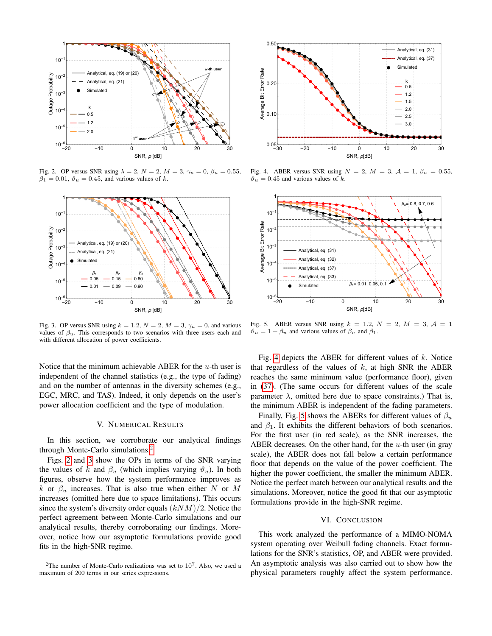

<span id="page-4-3"></span>Fig. 2. OP versus SNR using  $\lambda = 2$ ,  $N = 2$ ,  $M = 3$ ,  $\gamma_u = 0$ ,  $\beta_u = 0.55$ ,  $\beta_1 = 0.01$ ,  $\vartheta_u = 0.45$ , and various values of k.



<span id="page-4-4"></span>Fig. 3. OP versus SNR using  $k = 1.2$ ,  $N = 2$ ,  $M = 3$ ,  $\gamma_u = 0$ , and various values of  $\beta_u$ . This corresponds to two scenarios with three users each and with different allocation of power coefficients.

Notice that the minimum achievable ABER for the  $u$ -th user is independent of the channel statistics (e.g., the type of fading) and on the number of antennas in the diversity schemes (e.g., EGC, MRC, and TAS). Indeed, it only depends on the user's power allocation coefficient and the type of modulation.

## V. NUMERICAL RESULTS

<span id="page-4-0"></span>In this section, we corroborate our analytical findings through Monte-Carlo simulations.[2](#page-4-2)

Figs. [2](#page-4-3) and [3](#page-4-4) show the OPs in terms of the SNR varying the values of k and  $\beta_u$  (which implies varying  $\vartheta_u$ ). In both figures, observe how the system performance improves as k or  $\beta_u$  increases. That is also true when either N or M increases (omitted here due to space limitations). This occurs since the system's diversity order equals  $(kNM)/2$ . Notice the perfect agreement between Monte-Carlo simulations and our analytical results, thereby corroborating our findings. Moreover, notice how our asymptotic formulations provide good fits in the high-SNR regime.



<span id="page-4-5"></span>Fig. 4. ABER versus SNR using  $N = 2$ ,  $M = 3$ ,  $\mathcal{A} = 1$ ,  $\beta_u = 0.55$ ,  $\vartheta_u = 0.45$  and various values of k.



<span id="page-4-6"></span>Fig. 5. ABER versus SNR using  $k = 1.2$ ,  $N = 2$ ,  $M = 3$ ,  $\mathcal{A} = 1$  $\vartheta_u = 1 - \beta_u$  and various values of  $\beta_u$  and  $\beta_1$ .

Fig. [4](#page-4-5) depicts the ABER for different values of  $k$ . Notice that regardless of the values of  $k$ , at high SNR the ABER reaches the same minimum value (performance floor), given in [\(37\)](#page-3-7). (The same occurs for different values of the scale parameter  $\lambda$ , omitted here due to space constraints.) That is, the minimum ABER is independent of the fading parameters.

Finally, Fig. [5](#page-4-6) shows the ABERs for different values of  $\beta_u$ and  $\beta_1$ . It exhibits the different behaviors of both scenarios. For the first user (in red scale), as the SNR increases, the ABER decreases. On the other hand, for the  $u$ -th user (in gray scale), the ABER does not fall below a certain performance floor that depends on the value of the power coefficient. The higher the power coefficient, the smaller the minimum ABER. Notice the perfect match between our analytical results and the simulations. Moreover, notice the good fit that our asymptotic formulations provide in the high-SNR regime.

## VI. CONCLUSION

<span id="page-4-1"></span>This work analyzed the performance of a MIMO-NOMA system operating over Weibull fading channels. Exact formulations for the SNR's statistics, OP, and ABER were provided. An asymptotic analysis was also carried out to show how the physical parameters roughly affect the system performance.

<span id="page-4-2"></span><sup>&</sup>lt;sup>2</sup>The number of Monte-Carlo realizations was set to  $10^7$ . Also, we used a maximum of 200 terms in our series expressions.